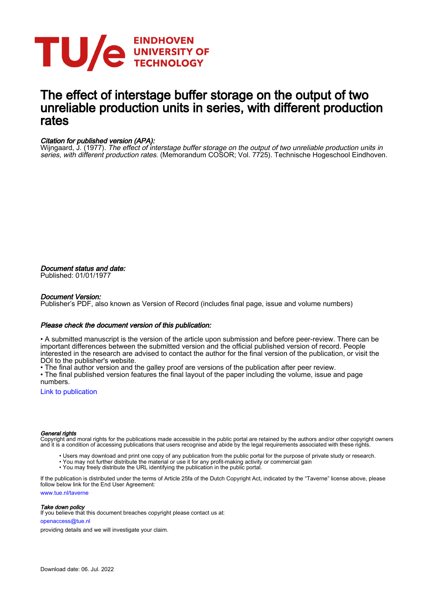

# The effect of interstage buffer storage on the output of two unreliable production units in series, with different production rates

## Citation for published version (APA):

Wijngaard, J. (1977). The effect of interstage buffer storage on the output of two unreliable production units in series, with different production rates. (Memorandum COSOR; Vol. 7725). Technische Hogeschool Eindhoven.

Document status and date:

Published: 01/01/1977

## Document Version:

Publisher's PDF, also known as Version of Record (includes final page, issue and volume numbers)

## Please check the document version of this publication:

• A submitted manuscript is the version of the article upon submission and before peer-review. There can be important differences between the submitted version and the official published version of record. People interested in the research are advised to contact the author for the final version of the publication, or visit the DOI to the publisher's website.

• The final author version and the galley proof are versions of the publication after peer review.

• The final published version features the final layout of the paper including the volume, issue and page numbers.

[Link to publication](https://research.tue.nl/en/publications/80450ac5-3d3a-4260-8fc3-be53c497814c)

#### General rights

Copyright and moral rights for the publications made accessible in the public portal are retained by the authors and/or other copyright owners and it is a condition of accessing publications that users recognise and abide by the legal requirements associated with these rights.

- Users may download and print one copy of any publication from the public portal for the purpose of private study or research.
- You may not further distribute the material or use it for any profit-making activity or commercial gain
	- You may freely distribute the URL identifying the publication in the public portal.

If the publication is distributed under the terms of Article 25fa of the Dutch Copyright Act, indicated by the "Taverne" license above, please follow below link for the End User Agreement:

www.tue.nl/taverne

#### Take down policy

If you believe that this document breaches copyright please contact us at:

openaccess@tue.nl

providing details and we will investigate your claim.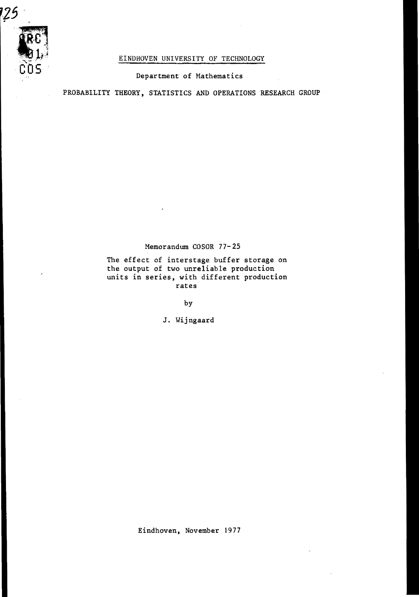EINDHOVEN UNIVERSITY OF TECHNOLOGY

Department of Mathematics

PROBABILITY THEORY, STATISTICS AND OPERATIONS RESEARCH GROUP

## Memorandum COSOR 77-25

The effect of interstage buffer storage on the output of two unreliable production units in series, with different production rates

by

J. Wijngaard

Eindhoven, November 1977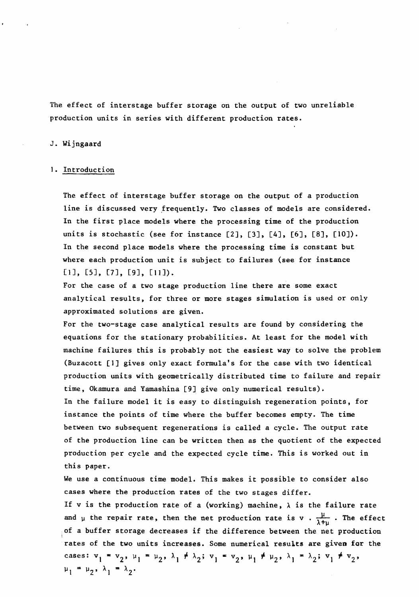The effect of interstage buffer storage on the output of two unreliable production units in series with different production rates.

# J. Wijngaard

## 1. Introduction

The effect of interstage buffer storage on the output of a production line is discussed very frequently. Two classes of models are considered. In the first place models where the processing time of the production units is stochastic (see for instance  $[2]$ ,  $[3]$ ,  $[4]$ ,  $[6]$ ,  $[8]$ ,  $[10]$ ). In the second place models where the processing time is constant but where each production unit is subject to failures (see for instance [1], [5], [7], [9], [11]).

For the case of a two stage production line there are some exact analytical results, for three or more stages simulation is used or only approximated solutions are given.

For the two-stage case analytical results are found by considering the equations for the stationary probabilities. At least for the model with machine failures this is probably not the easiest way to solve the problem (Buzacott [1] gives only exact formula's for the case with two identical production units with geometrically distributed time to failure and repair time, Okamura and Yamashina [9] give only numerical results).

In the failure model it is easy to distinguish regeneration points, for instance the points of time where the buffer becomes empty. The time between two subsequent regenerations is called a cycle. The output rate of the production line can be written then as the quotient of the expected production per cycle and the expected cycle time. This is worked out in this paper.

We use a continuous time model. This makes it possible to consider also cases where the production rates of the two stages differ. If v is the production rate of a (working) machine,  $\lambda$  is the failure rate and  $\mu$  the repair rate, then the net production rate is v  $\frac{\mu}{\lambda + \mu}$ . The effect of a buffer storage decreases if the difference between the net production rates of the two units increases. Some numerical results are given far the cases:  $v_1 = v_2$ ,  $u_1 = u_2$ ,  $\lambda_1 \neq \lambda_2$ ;  $v_1 = v_2$ ,  $u_1 \neq u_2$ ,  $\lambda_1 = \lambda_2$ ;  $v_1 \neq v_2$ ,  $\mu_1 = \mu_2$ ,  $\lambda_1 = \lambda_2$ .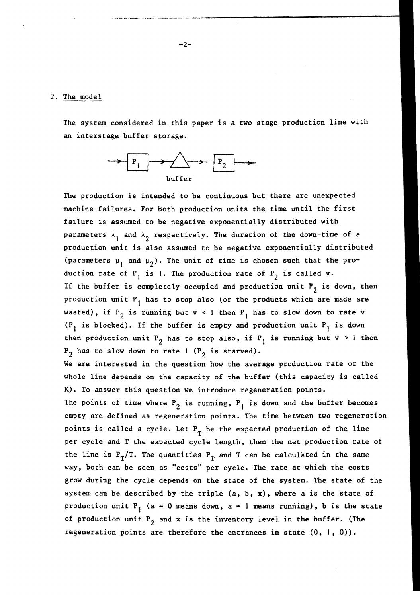#### 2. The model

The system considered in this paper is a two stage production line with an interstage buffer storage.



The production is intended to be continuous but there are unexpected machine failures. For both production units the time until the first failure is assumed to be negative exponentially distributed with parameters  $\lambda_1$  and  $\lambda_2$  respectively. The duration of the down-time of a production unit is also assumed to be negative exponentially distributed (parameters  $\mu_1$  and  $\mu_2$ ). The unit of time is chosen such that the production rate of  $P_1$  is I. The production rate of  $P_2$  is called v. If the buffer is completely occupied and production unit  $P_2$  is down, then production unit  $P_1$  has to stop also (or the products which are made are wasted), if  $P_2$  is running but  $v < l$  then  $P_1$  has to slow down to rate v  $(P_1$  is blocked). If the buffer is empty and production unit  $P_1$  is down then production unit P<sub>2</sub> has to stop also, if P<sub>1</sub> is running but  $v > 1$  then  $P_2$  has to slow down to rate I ( $P_2$  is starved).

We are interested in the question how the average production rate of the whole line depends on the capacity of the buffer (this capacity is called K). To answer this question we introduce regeneration points. The points of time where  $P_2$  is running,  $P_1$  is down and the buffer becomes

empty are defined as regeneration points. The time between two regeneration points is called a cycle. Let  $P_T$  be the expected production of the line per cycle and T the expected cycle length, then the net production rate of the line is  $P_{T}/T$ . The quantities  $P_{T}$  and T can be calculated in the same way, both can be seen as "costs" per cycle. The rate at which the costs grow during the cycle depends on the state of the system. The state of the system can be described by the triple  $(a, b, x)$ , where a is the state of production unit P<sub>1</sub> (a = 0 means down, a = 1 means running), b is the state of production unit  $P_2$  and x is the inventory level in the buffer. (The regeneration points are therefore the entrances in state  $(0, 1, 0)$ .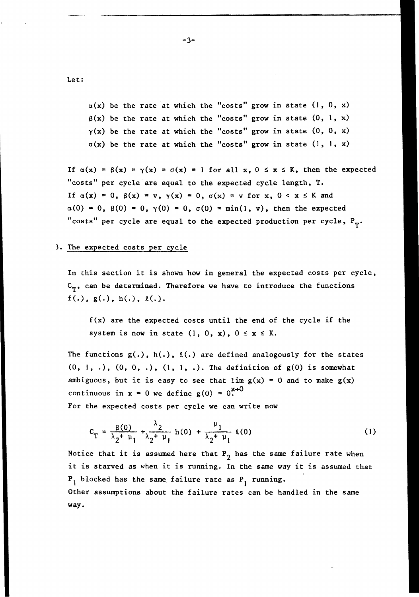Let:

 $\alpha(x)$  be the rate at which the "costs" grow in state  $(1, 0, x)$  $\beta(x)$  be the rate at which the "costs" grow in state  $(0, 1, x)$  $\gamma(x)$  be the rate at which the "costs" grow in state (0, 0, x)  $\sigma(x)$  be the rate at which the "costs" grow in state  $(1, 1, x)$ 

If  $\alpha(x) = \beta(x) = \gamma(x) = \sigma(x) = 1$  for all x,  $0 \le x \le K$ , then the expected "costs" per cycle are equal to the expected cycle length, T. If  $\alpha(x) = 0$ ,  $\beta(x) = v$ ,  $\gamma(x) = 0$ ,  $\sigma(x) = v$  for x,  $0 < x \le K$  and  $\alpha(0) = 0$ ,  $\beta(0) = 0$ ,  $\gamma(0) = 0$ ,  $\sigma(0) = \min(1, v)$ , then the expected "costs" per cycle are equal to the expected production per cycle,  $P_T$ .

## 3. The expected costs per cycle

In this section it is shown how in general the expected costs per cycle,  $C_T$ , can be determined. Therefore we have to introduce the functions  $f(.)$ ,  $g(.)$ ,  $h(.)$ ,  $\ell(.)$ .

f(x) are the expected costs until the end of the cycle if the system is now in state  $(1, 0, x)$ ,  $0 \le x \le K$ .

The functions g(.), h(.), *t(.)* are defined analogously for the states  $(0, 1, .), (0, 0, .), (1, 1, .).$  The definition of  $g(0)$  is somewhat ambiguous, but it is easy to see that  $\lim g(x) = 0$  and to make  $g(x)$ continuous in  $x = 0$  we define  $g(0) = 0$ . For the expected costs per cycle we can write now

$$
C_T = \frac{\beta(0)}{\lambda_2 + \mu_1} + \frac{\lambda_2}{\lambda_2 + \mu_1} h(0) + \frac{\mu_1}{\lambda_2 + \mu_1} \ell(0)
$$
 (1)

Notice that it is assumed here that  $P_2$  has the same failure rate when it is starved as when it is running. In the same way it is assumed that  $P_1$  blocked has the same failure rate as  $P_1$  running. Other assumptions about the failure rates can be handled in the same way.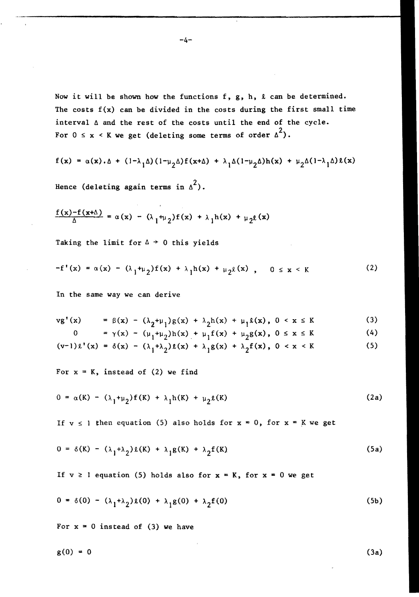Now it will be shown how the functions  $f$ ,  $g$ ,  $h$ ,  $\ell$  can be determined. The costs  $f(x)$  can be divided in the costs during the first small time interval  $\Delta$  and the rest of the costs until the end of the cycle. For  $0 \le x \le K$  we get (deleting some terms of order  $\Delta^2$ ).

$$
f(x) = \alpha(x) \cdot \Delta + (1-\lambda_1\Delta)(1-\mu_2\Delta) f(x+\Delta) + \lambda_1\Delta(1-\mu_2\Delta)h(x) + \mu_2\Delta(1-\lambda_1\Delta) \ell(x)
$$
  
Hence (deleting again terms in  $\Delta^2$ ).

$$
\frac{f(x)-f(x+\Delta)}{\Delta} = \alpha(x) - (\lambda_1 + \mu_2)f(x) + \lambda_1 h(x) + \mu_2 \ell(x)
$$

Taking the limit for  $\Delta \rightarrow 0$  this yields

$$
-f'(x) = \alpha(x) - (\lambda_1 + \mu_2) f(x) + \lambda_1 h(x) + \mu_2 \ell(x), \quad 0 \le x < K \tag{2}
$$

In the same way we can derive

$$
vg'(x) = \beta(x) - (\lambda_2 + \mu_1)g(x) + \lambda_2 h(x) + \mu_1 \ell(x), \ 0 < x \le K \tag{3}
$$

$$
0 = \gamma(x) - (\mu_1 + \mu_2)h(x) + \mu_1 f(x) + \mu_2 g(x), \quad 0 \le x \le K
$$
 (4)

$$
(v-1)\ell'(x) = \delta(x) - (\lambda_1 + \lambda_2)\ell(x) + \lambda_1 g(x) + \lambda_2 f(x), 0 < x < K
$$
 (5)

For  $x = K$ , instead of (2) we find

$$
0 = \alpha(K) - (\lambda_1 + \mu_2) f(K) + \lambda_1 h(K) + \mu_2 \ell(K)
$$
 (2a)

If  $v \le 1$  then equation (5) also holds for  $x = 0$ , for  $x = K$  we get

$$
0 = \delta(K) - (\lambda_1 + \lambda_2) \ell(K) + \lambda_1 g(K) + \lambda_2 f(K)
$$
 (5a)

If  $v \ge 1$  equation (5) holds also for  $x = K$ , for  $x = 0$  we get

$$
0 = \delta(0) - (\lambda_1 + \lambda_2) \ell(0) + \lambda_1 g(0) + \lambda_2 f(0)
$$
 (5b)

For  $x = 0$  instead of (3) we have

$$
g(0) = 0 \tag{3a}
$$

-4-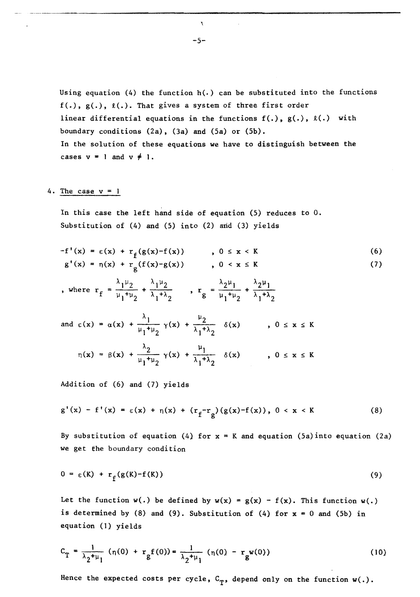Using equation (4) the function  $h(.)$  can be substituted into the functions f(.), g(.), *t(.).* That gives a system of three first order linear differential equations in the functions  $f(.)$ ,  $g(.)$ ,  $\ell(.)$  with boundary conditions  $(2a)$ ,  $(3a)$  and  $(5a)$  or  $(5b)$ . In the solution of these equations we have to distinguish between the cases  $v = 1$  and  $v \neq 1$ .

## 4. The case  $v = 1$

In this case the left hand side of equation (5) reduces to O. Substitution of  $(4)$  and  $(5)$  into  $(2)$  and  $(3)$  yields

$$
-f'(x) = \varepsilon(x) + r_f(g(x) - f(x)) \qquad , \ 0 \le x < K
$$
\n
$$
g'(x) = \eta(x) + r_g(f(x) - g(x)) \qquad , \ 0 < x \le K
$$
\n(7)

, where 
$$
r_f = \frac{\lambda_1 \mu_2}{\mu_1 + \mu_2} + \frac{\lambda_1 \mu_2}{\lambda_1 + \lambda_2}
$$
,  $r_g = \frac{\lambda_2 \mu_1}{\mu_1 + \mu_2} + \frac{\lambda_2 \mu_1}{\lambda_1 + \lambda_2}$ 

and 
$$
\epsilon(x) = \alpha(x) + \frac{\lambda_1}{\mu_1 + \mu_2} \gamma(x) + \frac{\mu_2}{\lambda_1 + \lambda_2} \delta(x)
$$
,  $0 \le x \le K$   

$$
\eta(x) = \beta(x) + \frac{\lambda_2}{\mu_1 + \mu_2} \gamma(x) + \frac{\mu_1}{\lambda_1 + \lambda_2} \delta(x)
$$
,  $0 \le x \le K$ 

Addition of (6) and (7) yields

$$
g'(x) - f'(x) = \varepsilon(x) + \eta(x) + (r_f - r_g)(g(x) - f(x)), 0 < x < K
$$
 (8)

By substitution of equation (4) for  $x = K$  and equation (5a) into equation (2a) we get the boundary condition

$$
0 = \varepsilon(K) + r_{\varphi}(g(K) - f(K)) \tag{9}
$$

Let the function  $w(.)$  be defined by  $w(x) = g(x) - f(x)$ . This function  $w(.)$ is determined by (8) and (9). Substitution of (4) for  $x = 0$  and (5b) in equation (1) yields

$$
C_T = \frac{1}{\lambda_2 + \mu_1} (n(0) + r_g f(0)) = \frac{1}{\lambda_2 + \mu_1} (n(0) - r_g w(0))
$$
 (10)

Hence the expected costs per cycle,  $\texttt{C}_{\texttt{T}}$ , depend only on the function  $\texttt{w}(.)$ .

 $-5-$ 

.------ **-------------------------------** ,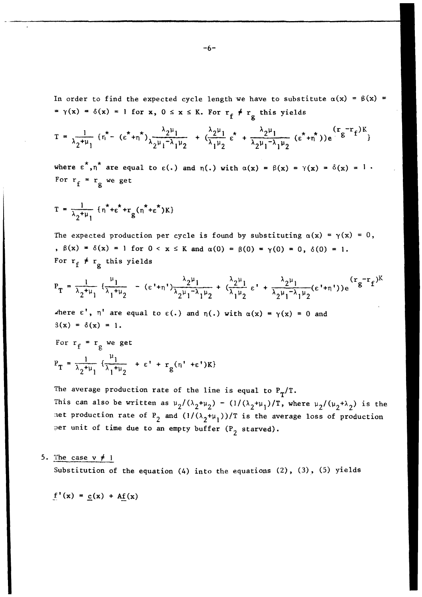In order to find the expected cycle length we have to substitute  $\alpha(x) = \beta(x) =$  $= \gamma(x) = \delta(x) = 1$  for x,  $0 \le x \le K$ . For  $r_f \ne r_g$  this yields

$$
T = \frac{1}{\lambda_2 + \mu_1} \left( r_1^* - \left( \varepsilon^* + r_1^* \right) \frac{\lambda_2 \mu_1}{\lambda_2 \mu_1 - \lambda_1 \mu_2} + \left( \frac{\lambda_2 \mu_1}{\lambda_1 \mu_2} \varepsilon^* + \frac{\lambda_2 \mu_1}{\lambda_2 \mu_1 - \lambda_1 \mu_2} \left( \varepsilon^* + r_1^* \right) \right) e^{-\frac{\left( r_2 - r_1 \right) \kappa}{8} \mu_1}
$$

where  $\epsilon^*$ ,  $n^*$  are equal to  $\epsilon(.)$  and  $n(.)$  with  $\alpha(x) = \beta(x) = \gamma(x) = \delta(x) = 1$ . For  $r_f = r_g$  we get

$$
T = \frac{1}{\lambda_2 + \mu_1} \{ \eta^* + \varepsilon^* + r_g (\eta^* + \varepsilon^*)K \}
$$

The expected production per cycle is found by substituting  $\alpha(x) = \gamma(x) = 0$ , ,  $\beta(x) = \delta(x) = 1$  for  $0 < x \le K$  and  $\alpha(0) = \beta(0) = \gamma(0) = 0$ ,  $\delta(0) = 1$ . For  $r_f \neq r_g$  this yields

$$
P_{T} = \frac{1}{\lambda_{2} + \mu_{1}} \left\{ \frac{\mu_{1}}{\lambda_{1} + \mu_{2}} - (\epsilon' + \eta') \frac{\lambda_{2} \mu_{1}}{\lambda_{2} \mu_{1} - \lambda_{1} \mu_{2}} + (\frac{\lambda_{2} \mu_{1}}{\lambda_{1} \mu_{2}} \epsilon' + \frac{\lambda_{2} \mu_{1}}{\lambda_{2} \mu_{1} - \lambda_{1} \mu_{2}} (\epsilon' + \eta')) e^{(\epsilon_{2} - \epsilon_{1} \mu_{1})} \right\}
$$

where  $\varepsilon'$ ,  $n'$  are equal to  $\varepsilon(.)$  and  $n(.)$  with  $\alpha(x) = \gamma(x) = 0$  and  $3(x) = \delta(x) = 1$ .

For 
$$
r_f = r_g
$$
 we get  
\n
$$
P_T = \frac{1}{\lambda_2 + \mu_1} \left\{ \frac{\mu_1}{\lambda_1 + \mu_2} + \epsilon' + r_g(\eta' + \epsilon')K \right\}
$$

The average production rate of the line is equal to  $P_T/T$ . This can also be written as  $\mu_2/(\lambda_2+\mu_2)$  -  $(1/(\lambda_2+\mu_1)/T$ , where  $\mu_2/(\mu_2+\lambda_2)$  is the met production rate of  $P_2$  and  $(1/(\lambda_2 + \mu_1))/T$  is the average loss of production per unit of time due to an empty buffer  $(P_2$  starved).

5. The case  $v \neq 1$ 

Substitution of the equation (4) into the equations  $(2)$ ,  $(3)$ ,  $(5)$  yields

 $f'(x) = c(x) + Af(x)$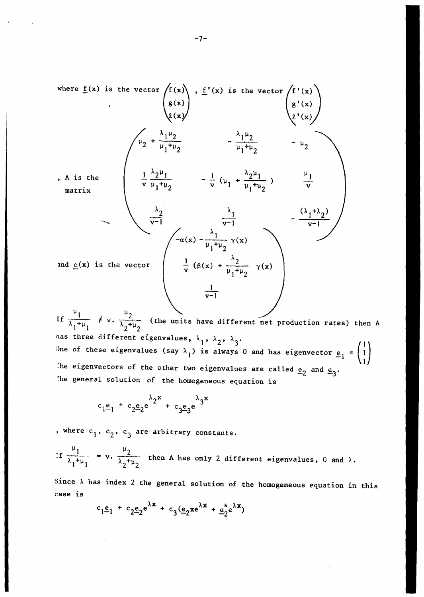

If  $\frac{\mu_1}{\lambda_1 + \mu_2}$  $\frac{\lambda_1 + \mu_1}{\lambda_1 + \mu_1}$   $\neq$  v.  $\frac{2}{\lambda_2 + \mu_2}$  (the units have different net production rates) then A has three different eigenvalues,  $\lambda_1$ ,  $\lambda_2$ ,  $\lambda_3$ . The of these eigenvalues (say  $\lambda_1$ ) is always 0 and has eigenvector  $\underline{e}_1 = \begin{pmatrix} 1 \\ 1 \end{pmatrix}$ The eigenvectors of the other two eigenvalues are called  $\underline{e}_2$  and  $\underline{e}_3$ . The general solution of the homogeneous equation is

$$
c_1e_1 + c_2e_2e^{\lambda_2x} + c_3e_3e^{\lambda_3x}
$$

, where  $c_1$ ,  $c_2$ ,  $c_3$  are arbitrary constants.

If 
$$
\frac{\mu_1}{\lambda_1 + \mu_1} = v \cdot \frac{\mu_2}{\lambda_2 + \mu_2}
$$
 then A has only 2 different eigenvalues, 0 and  $\lambda$ .

Since  $\lambda$  has index 2 the general solution of the homogeneous equation in this ease is

$$
c_1e_1 + c_2e_2e^{\lambda x} + c_3(e_2xe^{\lambda x} + e_2^*e^{\lambda x})
$$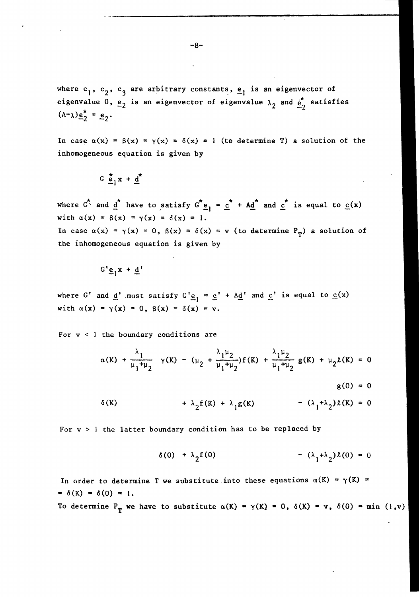where  $c_1$ ,  $c_2$ ,  $c_3$  are arbitrary constants,  $\underline{e}_1$  is an eigenvector of eigenvalue 0,  $\underline{e}_2$  is an eigenvector of eigenvalue  $\lambda_2$  and  $\underline{e}_2^*$  satisfies  $(A-\lambda)\underline{e}_{2}^{\star} = \underline{e}_{2}.$ 

In case  $\alpha(x) = \beta(x) = \gamma(x) = \delta(x) = 1$  (to determine T) a solution of the inhomogeneous equation is given by

$$
G \stackrel{\star}{\underline{e}}_1 x + \underline{d}^{\star}
$$

where  $G^*$  and  $\underline{d}^*$  have to satisfy  $G^*_{\underline{e}_1} = \underline{c}^* + \underline{Ad}^*$  and  $\underline{c}^*$  is equal to  $\underline{c}(x)$ with  $\alpha(x) = \beta(x) = \gamma(x) = \delta(x) = 1$ . In case  $\alpha(x) = \gamma(x) = 0$ ,  $\beta(x) = \delta(x) = v$  (to determine P<sub>T</sub>) a solution of the inhomogeneous equation is given by

$$
G^{\dagger} \underline{e}_1 x + \underline{d}^{\dagger}
$$

where G' and  $\underline{d}$ ' must satisfy G' $\underline{e}_1 = \underline{c}$ ' + A $\underline{d}$ ' and  $\underline{c}$ ' is equal to  $\underline{c}(x)$ with  $\alpha(x) = \gamma(x) = 0$ ,  $\beta(x) = \delta(x) = v$ .

For  $v < 1$  the boundary conditions are

$$
\alpha(K) + \frac{\lambda_1}{\mu_1 + \mu_2} \gamma(K) - (\mu_2 + \frac{\lambda_1 \mu_2}{\mu_1 + \mu_2}) f(K) + \frac{\lambda_1 \mu_2}{\mu_1 + \mu_2} g(K) + \mu_2 \ell(K) = 0
$$
  
g(0) = 0  

$$
\delta(K) + \lambda_2 f(K) + \lambda_1 g(K) - (\lambda_1 + \lambda_2) \ell(K) = 0
$$

For  $v > 1$  the latter boundary condition has to be replaced by

$$
\delta(0) + \lambda_2 f(0) - (\lambda_1 + \lambda_2) \ell(0) = 0
$$

In order to determine T we substitute into these equations  $\alpha(K) = \gamma(K)$  =  $= \delta(K) = \delta(0) = 1.$ 

To determine P<sub>T</sub> we have to substitute  $\alpha(K) = \gamma(K) = 0$ ,  $\delta(K) = v$ ,  $\delta(0) = \min$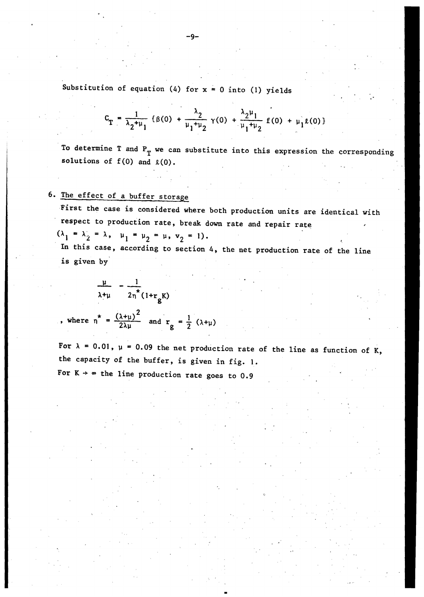Substitution of equation (4) for  $x = 0$  into (1) yields

$$
C_T = \frac{1}{\lambda_2 + \mu_1} \left\{ \beta(0) + \frac{\lambda_2}{\mu_1 + \mu_2} \gamma(0) + \frac{\lambda_2 \mu_1}{\mu_1 + \mu_2} \right\} \left\{ (0) + \mu_1 \right\} \ell(0) \}
$$

To determine T and  $P_T$  we can substitute into this expression the corresponding solutions of  $f(0)$  and  $\ell(0)$ .

"

# 6. The effect of a buffer storage

First the case is considered where both production units are identical with respect to production rate, break down rate and repair rate

$$
(\lambda_1 = \lambda_2 = \lambda, \quad \mu_1 = \mu_2 = \mu, \quad \nu_2 = 1).
$$

In this case, according to section 4, the net production rate of the line is given by

$$
\frac{\mu}{\lambda + \mu} - \frac{1}{2n^{\star}(1+r_gK)}
$$

, where 
$$
n^* = \frac{(\lambda + \mu)^2}{2\lambda\mu}
$$
 and  $r_g = \frac{1}{2} (\lambda + \mu)$ 

For  $\lambda = 0.01$ ,  $\mu = 0.09$  the net production rate of the line as function of K, the capacity of the buffer, is given in fig. 1. For  $K \rightarrow \infty$  the line production rate goes to 0.9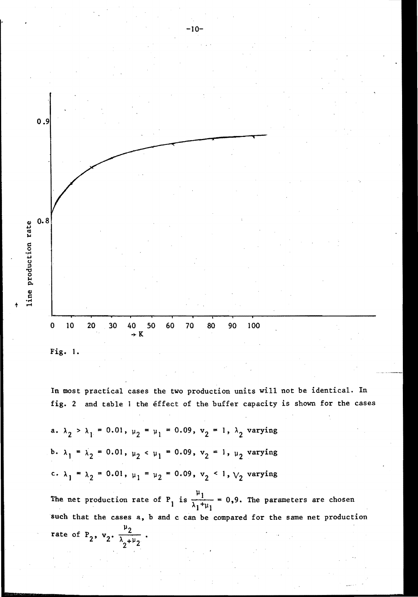

In most practical cases the two production units will not be identical. In fig. 2 and table 1 the effect of the buffer capacity is shown for the cases

a.  $\lambda_2 > \lambda_1 = 0.01$ ,  $\mu_2 = \mu_1 = 0.09$ ,  $v_2 = 1$ ,  $\lambda_2$  varying b.  $\lambda_1 = \lambda_2 = 0.01$ ,  $\mu_2 < \mu_1 = 0.09$ ,  $v_2 = 1$ ,  $\mu_2$  varying c.  $\lambda_1 = \lambda_2 = 0.01$ ,  $\mu_1 = \mu_2 = 0.09$ ,  $v_2 < 1$ ,  $V_2$  varying

The net production rate of P<sub>1</sub> is  $\frac{\mu_1}{\mu_2} = 0.9$ . The parameters are chosen  $\lambda_1$ <sup>+</sup> $\mu_1$ such that the cases a, b and c can be compared for the same net production rate of P<sub>2</sub>,  $v_2$ ,  $\frac{\mu_2}{\lambda_2 + \mu_2}$ .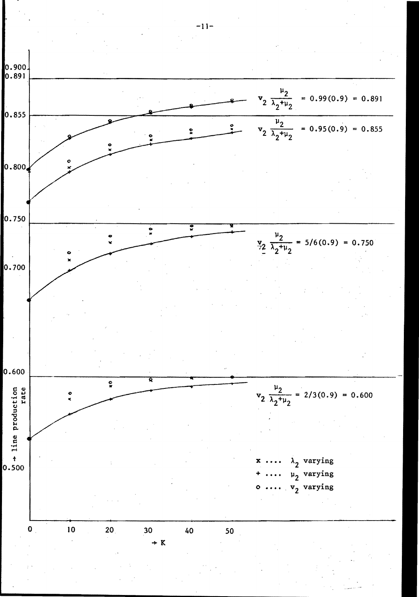

-11-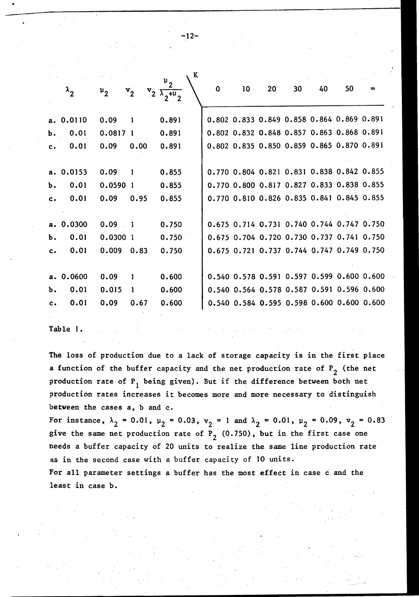|                |             |                  |                  | K                                |             |    |    |    |    |                                           |   |
|----------------|-------------|------------------|------------------|----------------------------------|-------------|----|----|----|----|-------------------------------------------|---|
|                | $\lambda_2$ | $\mathfrak{u}_2$ | $v_{2}$          | $v_2 \overline{\lambda_2 + \mu}$ | $\mathbf 0$ | 10 | 20 | 30 | 40 | 50                                        | œ |
|                | a. 0.0110   | 0.09             | - 1              | 0.891                            |             |    |    |    |    | 0.802 0.833 0.849 0.858 0.864 0.869 0.891 |   |
| Ъ.             | 0.01        | 0.08171          |                  | 0.891                            |             |    |    |    |    | 0.802 0.832 0.848 0.857 0.863 0.868 0.891 |   |
| c.             | 0.01        | 0.09             | 0.00             | 0.891                            |             |    |    |    |    | 0.802 0.835 0.850 0.859 0.865 0.870 0.891 |   |
|                | a. 0.0153   | 0.09             | $\mathbf{1}$     | 0.855                            |             |    |    |    |    | 0.770 0.804 0.821 0.831 0.838 0.842 0.855 |   |
| Ъ.             | 0.01        | 0.05901          |                  | 0.855                            |             |    |    |    |    | 0.770 0.800 0.817 0.827 0.833 0.838 0.855 |   |
| c.             | 0.01        | 0.09             | 0.95             | 0.855                            |             |    |    |    |    | 0.770 0.810 0.826 0.835 0.841 0.845 0.855 |   |
|                | a. 0.0300   | 0.09             | $\blacksquare$ 1 | 0.750                            |             |    |    |    |    | 0.675 0.714 0.731 0.740 0.744 0.747 0.750 |   |
| Ъ.             | 0.01        | 0.0300 1         |                  | 0.750                            |             |    |    |    |    | 0.675 0.704 0.720 0.730 0.737 0.741 0.750 |   |
| c.             | 0.01        | 0.009            | 0.83             | 0.750                            |             |    |    |    |    | 0.675 0.721 0.737 0.744 0.747 0.749 0.750 |   |
|                | a. 0.0600   | 0.09             | 1                | 0.600                            |             |    |    |    |    | 0.540 0.578 0.591 0.597 0.599 0.600 0.600 |   |
| Ъ.             | 0.01        | 0.015            | $\mathbf{1}$     | 0.600                            |             |    |    |    |    | 0.540 0.564 0.578 0.587 0.591 0.596 0.600 |   |
| c <sub>1</sub> | 0.01        | 0.09             | 0.67             | 0.600                            |             |    |    |    |    | 0.540 0.584 0.595 0.598 0.600 0.600 0.600 |   |
|                |             |                  |                  |                                  |             |    |    |    |    |                                           |   |

Table 1.

The loss of production due to a lack of storage capacity is in the first place a function of the buffer capacity and the net production rate of  $P_2$  (the net production rate of  $P_1$  being given). But if the difference between both net production rates increases it becomes more and more necessary to distinguish between the cases a. b and c.

For instance,  $\lambda_2 = 0.01$ ,  $\mu_2 = 0.03$ ,  $v_2 = 1$  and  $\lambda_2 = 0.01$ ,  $\mu_2 = 0.09$ ,  $v_2 = 0.83$ give the same net production rate of  $\overline{P}_2$  (0.750), but in the first case one needs a buffer capacity of 20 units to realize the same line production rate as in the second case with a buffer capacity of 10 units. For all parameter settings a buffer has the most effect in case c and the

least in case b.

-12-